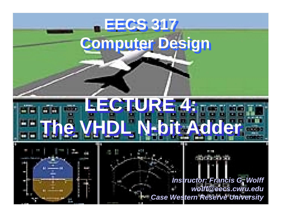# **EECS 317 EECS 317 Computer Design Computer Design LECTURE 4: LECTURE 4:** m. **The VHDL N-bit Adder The VHDL N-bit Adder**

**Case Western Reserve University** *Instructor: Francis G. Wolff wolff@eecs.cwru.edu*

**BARTAS**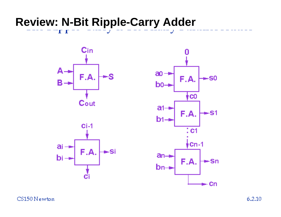### **Review: N-Bit Ripple-Carry Adder**



 $\mathbf{I}$   $\mathbf{I}$ 





CS150 Newton

 $6.2.10$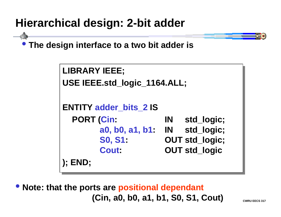# **Hierarchical design: 2-bit adder**

• **The design interface to a two bit adder is**

```
LIBRARY IEEE;
LIBRARY IEEE;
USE IEEE.std_logic_1164.ALL;
USE IEEE.std_logic_1164.ALL;
ENTITY adder_bits_2 IS
ENTITY adder_bits_2 IS
   PORT (Cin: IN std_logic;
PORT (Cin: IN std_logic;
           a0, b0, a1, b1: IN std_logic;
a0, b0, a1, b1: IN std_logic;
           S0, S1: OUT std_logic;
S0, S1: OUT std_logic;
           Cout: OUT std_logic
Cout: OUT std_logic
); END;
); END;
```
• **Note: that the ports are positional dependant (Cin, a0, b0, a1, b1, S0, S1, Cout)**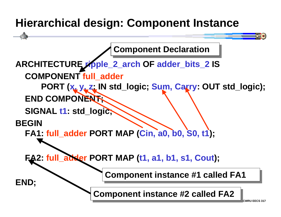# **Hierarchical design: Component Instance**

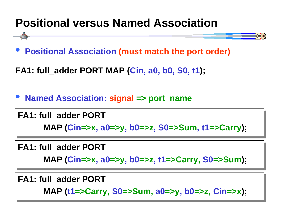# **Positional versus Named Association**



**FA1: full\_adder PORT MAP (Cin, a0, b0, S0, t1);**

 $\bullet$ **Named Association: signal => port\_name**

**FA1: full\_adder PORT FA1: full\_adder PORT MAP (Cin=>x, a0=>y, b0=>z, S0=>Sum, t1=>Carry); MAP (Cin=>x, a0=>y, b0=>z, S0=>Sum, t1=>Carry);**

#### **FA1: full\_adder PORT FA1: full\_adder PORT**

**MAP (Cin=>x, a0=>y, b0=>z, t1=>Carry, S0=>Sum); MAP (Cin=>x, a0=>y, b0=>z, t1=>Carry, S0=>Sum);**

**FA1: full\_adder PORT FA1: full\_adder PORT**

**MAP (t1=>Carry, S0=>Sum, a0=>y, b0=>z, Cin=>x); MAP (t1=>Carry, S0=>Sum, a0=>y, b0=>z, Cin=>x);**

**CWRU EECS** 317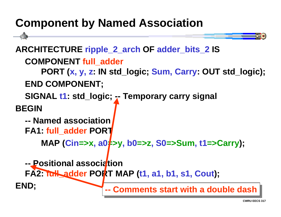### **Component by Named Association**

```
ARCHITECTURE ripple_2_arch OF adder_bits_2 IS
  COMPONENT full_adder
     PORT (x, y, z: IN std_logic; Sum, Carry: OUT std_logic);
  END COMPONENT;
  SIGNAL t1: std_logic; -- Temporary carry signal
BEGIN-- Named associationFA1: full_adder PORT
     MAP (Cin=>x, a0\neq>y, b0=>z, S0=>Sum, t1=>Carry);
  -- Positional association
  FA2: full_adder PORT MAP (t1, a1, b1, s1, Cout);
END; -- Comments start with a double dash
```
Ξ.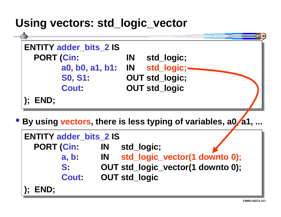#### **Using vectors: std\_logic\_vector**



| <b>ENTITY adder bits 2 IS</b> |              |    |                      |                                   |  |
|-------------------------------|--------------|----|----------------------|-----------------------------------|--|
| PORT (Cin:                    |              | IN | std_logic;           |                                   |  |
|                               | a, b         |    |                      | IN std_logic_vector(1 downto 0);  |  |
| S:                            |              |    |                      | OUT std_logic_vector(1 downto 0); |  |
|                               | <b>Cout:</b> |    | <b>OUT std_logic</b> |                                   |  |
| );        END;                |              |    |                      |                                   |  |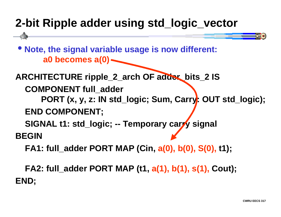# **2-bit Ripple adder using std\_logic\_vector**

• **Note, the signal variable usage is now different: a0 becomes a(0)**

**ARCHITECTURE ripple\_2\_arch OF adder\_bits\_2 IS**

**COMPONENT full\_adder**

**PORT (x, y, z: IN std\_logic; Sum, Carry: OUT std\_logic); END COMPONENT;**

**SIGNAL t1: std\_logic; -- Temporary carry signal**

**BEGIN**

**FA1: full\_adder PORT MAP (Cin, a(0), b(0), S(0), t1);**

**FA2: full\_adder PORT MAP (t1, a(1), b(1), s(1), Cout); END;**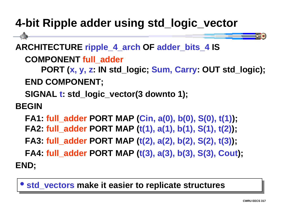# **4-bit Ripple adder using std\_logic\_vector**

**ARCHITECTURE ripple\_4\_arch OF adder\_bits\_4 IS**

**COMPONENT full\_adder**

**PORT (x, y, z: IN std\_logic; Sum, Carry: OUT std\_logic); END COMPONENT;**

**SIGNAL t: std\_logic\_vector(3 downto 1);**

**BEGIN**

**FA1: full\_adder PORT MAP (Cin, a(0), b(0), S(0), t(1)); FA2: full\_adder PORT MAP (t(1), a(1), b(1), S(1), t(2));**

**FA3: full\_adder PORT MAP (t(2), a(2), b(2), S(2), t(3));**

**FA4: full\_adder PORT MAP (t(3), a(3), b(3), S(3), Cout);**

**END;**

**• std\_vectors make it easier to replicate structures** 

Ξ κ∣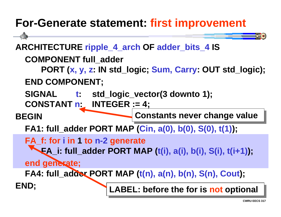### **For-Generate statement: first improvement**

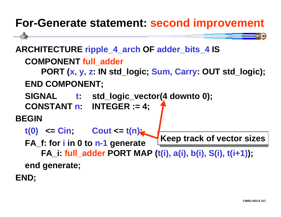### **For-Generate statement: second improvement**

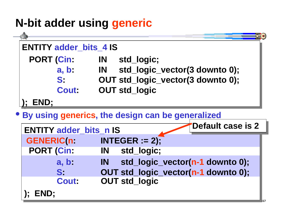# **N-bit adder using generic**



**); END; ); END;**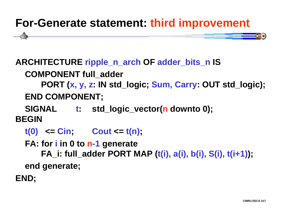# **For-Generate statement: third improvement**

#### **ARCHITECTURE ripple\_n\_arch OF adder\_bits\_n IS**

#### **COMPONENT full\_adder**

**PORT (x, y, z: IN std\_logic; Sum, Carry: OUT std\_logic); END COMPONENT;**

 **SIGNAL t: std\_logic\_vector(n downto 0); BEGIN**

- **t(0) <= Cin; Cout <= t(n);**
- **FA: for i in 0 to n-1 generate**

**FA\_i: full\_adder PORT MAP (t(i), a(i), b(i), S(i), t(i+1)); end generate;**

**END;**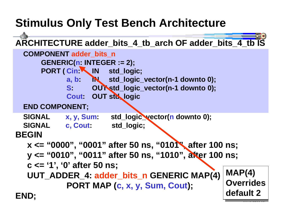# **Stimulus Only Test Bench Architecture**

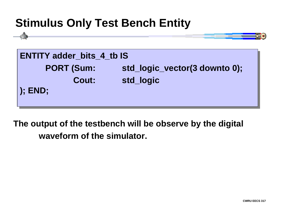### **Stimulus Only Test Bench Entity**

| <b>ENTITY adder_bits_4_tb IS</b> |                               |
|----------------------------------|-------------------------------|
| <b>PORT (Sum:</b>                | std_logic_vector(3 downto 0); |
| <b>Cout:</b>                     | std_logic                     |
| <b>(); END;</b>                  |                               |
|                                  |                               |

**The output of the testbench will be observe by the digital waveform of the simulator.**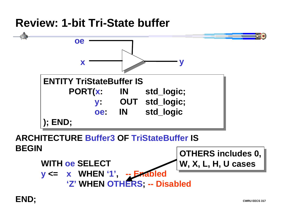#### **Review: 1-bit Tri-State buffer**



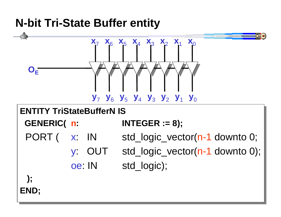### **N-bit Tri-State Buffer entity**



**CWRU EECS 317**

**END; END;**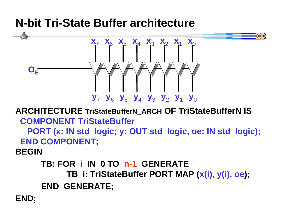### **N-bit Tri-State Buffer architecture**



**ARCHITECTURE TriStateBufferN\_ARCH OF TriStateBufferN IS COMPONENT TriStateBuffer**

 **PORT (x: IN std\_logic; y: OUT std\_logic, oe: IN std\_logic); END COMPONENT;**

**BEGIN**

**TB: FOR i IN 0 TO n-1 GENERATETB\_i: TriStateBuffer PORT MAP (x(i), y(i), oe);**

 **END GENERATE;**

**END;**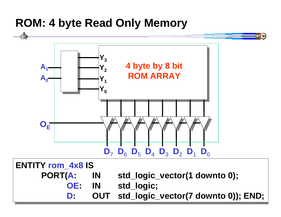#### **ROM: 4 byte Read Only Memory**



**CWRU EECS 317D: OUT std\_logic\_vector(7 downto 0)); END; D: OUT std\_logic\_vector(7 downto 0)); END;**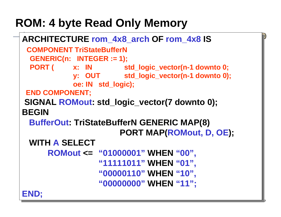# **ROM: 4 byte Read Only Memory**

```
ARCHITECTURE rom_4x8_arch OF rom_4x8 IS
ARCHITECTURE rom_4x8_arch OF rom_4x8 IS
  COMPONENT TriStateBufferNCOMPONENT TriStateBufferN
 GENERIC(n: INTEGER := 1);
 GENERIC(n: INTEGER := 1);
 PORT ( x: IN std_logic_vector(n-1 downto 0;
 PORT ( x: IN std_logic_vector(n-1 downto 0;
           y: OUT std_logic_vector(n-1 downto 0);
 y: OUT std_logic_vector(n-1 downto 0);
                     oe: IN std_logic);
oe: IN std_logic);
 END COMPONENT;
 END COMPONENT;
 SIGNAL ROMout: std_logic_vector(7 downto 0);
 SIGNAL ROMout: std_logic_vector(7 downto 0);
BEGINBEGIN BufferOut: TriStateBufferN GENERIC MAP(8)
BufferOut: TriStateBufferN GENERIC MAP(8)
                                 PORT MAP(ROMout, D, OE);
 PORT MAP(ROMout, D, OE);
 WITH A SELECT WITH A SELECTROMout <= "01000001" WHEN "00",
ROMout <= "01000001" WHEN "00",
            "11111011" WHEN "01",
"11111011" WHEN "01",
                       "00000110" WHEN "10",
"00000110" WHEN "10",
                       "00000000" WHEN "11";
"00000000" WHEN "11";
END;
END;
```
**CWRU EECS 317**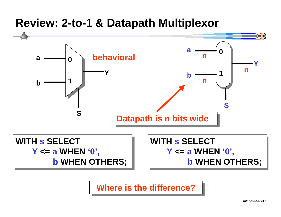#### **Review: 2-to-1 & Datapath Multiplexor**



**Where is the difference?**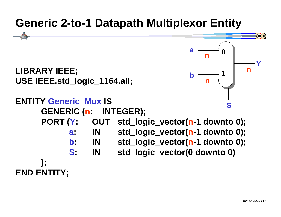### **Generic 2-to-1 Datapath Multiplexor Entity**

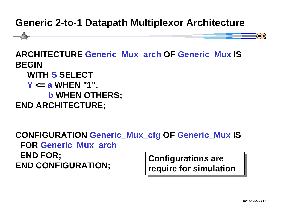#### **Generic 2-to-1 Datapath Multiplexor Architecture**



**Configurations are Configurations are require for simulation require for simulation CONFIGURATION Generic\_Mux\_cfg OF Generic\_Mux IS FOR Generic\_Mux\_arch END FOR; END CONFIGURATION;**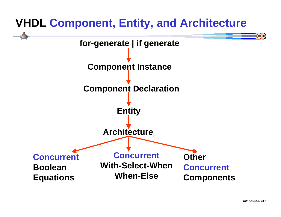# **VHDL Component, Entity, and Architecture**

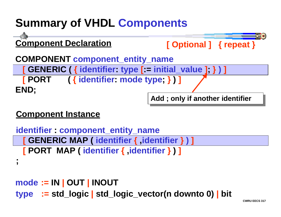# **Summary of VHDL Components**



#### **Component Instance**

```
identifier : component_entity_name
  [ GENERIC MAP ( identifier { ,identifier } ) ]
  [ PORT MAP ( identifier { ,identifier } ) ]
;
mode := IN | OUT | INOUT
type := std_logic | std_logic_vector(n downto 0) | bit
```